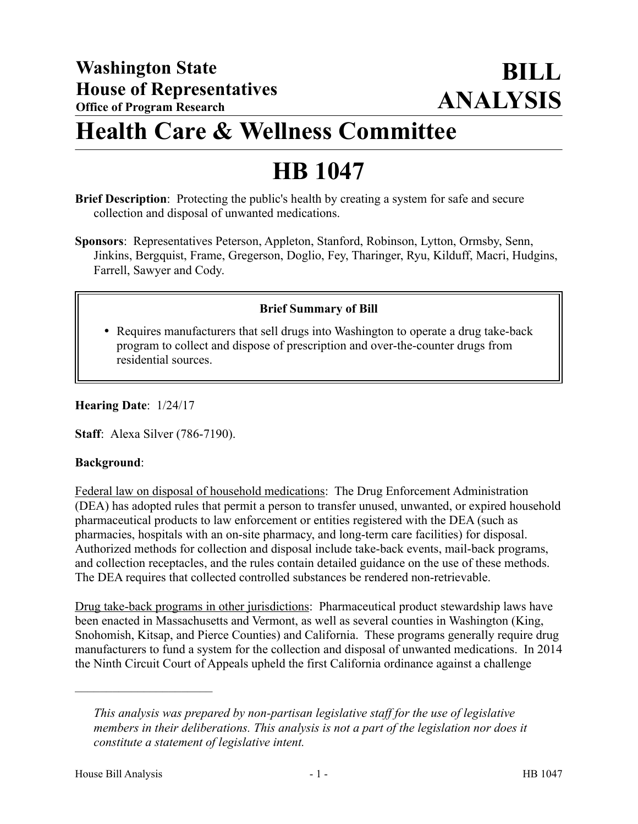## **Health Care & Wellness Committee**

# **HB 1047**

- **Brief Description**: Protecting the public's health by creating a system for safe and secure collection and disposal of unwanted medications.
- **Sponsors**: Representatives Peterson, Appleton, Stanford, Robinson, Lytton, Ormsby, Senn, Jinkins, Bergquist, Frame, Gregerson, Doglio, Fey, Tharinger, Ryu, Kilduff, Macri, Hudgins, Farrell, Sawyer and Cody.

## **Brief Summary of Bill**

 Requires manufacturers that sell drugs into Washington to operate a drug take-back program to collect and dispose of prescription and over-the-counter drugs from residential sources.

#### **Hearing Date**: 1/24/17

**Staff**: Alexa Silver (786-7190).

#### **Background**:

Federal law on disposal of household medications: The Drug Enforcement Administration (DEA) has adopted rules that permit a person to transfer unused, unwanted, or expired household pharmaceutical products to law enforcement or entities registered with the DEA (such as pharmacies, hospitals with an on-site pharmacy, and long-term care facilities) for disposal. Authorized methods for collection and disposal include take-back events, mail-back programs, and collection receptacles, and the rules contain detailed guidance on the use of these methods. The DEA requires that collected controlled substances be rendered non-retrievable.

Drug take-back programs in other jurisdictions: Pharmaceutical product stewardship laws have been enacted in Massachusetts and Vermont, as well as several counties in Washington (King, Snohomish, Kitsap, and Pierce Counties) and California. These programs generally require drug manufacturers to fund a system for the collection and disposal of unwanted medications. In 2014 the Ninth Circuit Court of Appeals upheld the first California ordinance against a challenge

––––––––––––––––––––––

*This analysis was prepared by non-partisan legislative staff for the use of legislative members in their deliberations. This analysis is not a part of the legislation nor does it constitute a statement of legislative intent.*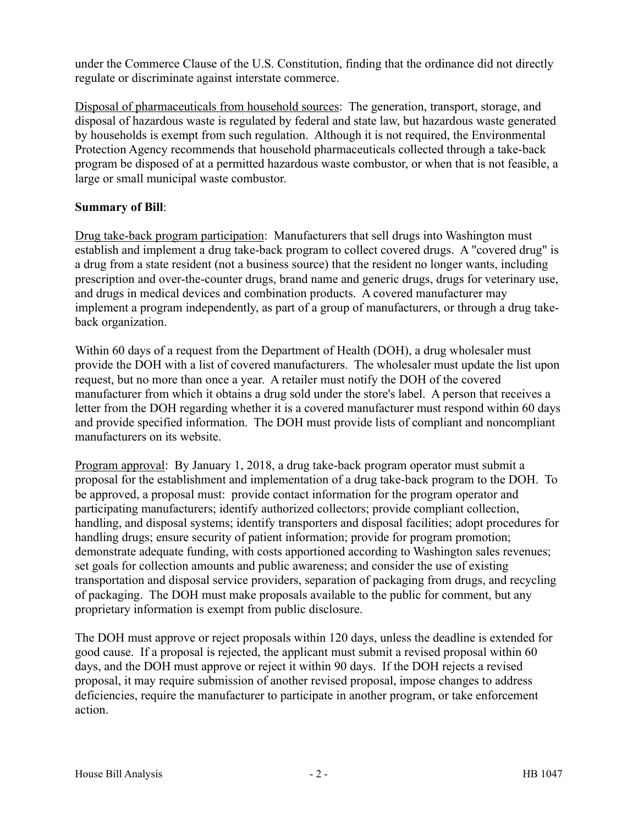under the Commerce Clause of the U.S. Constitution, finding that the ordinance did not directly regulate or discriminate against interstate commerce.

Disposal of pharmaceuticals from household sources: The generation, transport, storage, and disposal of hazardous waste is regulated by federal and state law, but hazardous waste generated by households is exempt from such regulation. Although it is not required, the Environmental Protection Agency recommends that household pharmaceuticals collected through a take-back program be disposed of at a permitted hazardous waste combustor, or when that is not feasible, a large or small municipal waste combustor.

## **Summary of Bill**:

Drug take-back program participation: Manufacturers that sell drugs into Washington must establish and implement a drug take-back program to collect covered drugs. A "covered drug" is a drug from a state resident (not a business source) that the resident no longer wants, including prescription and over-the-counter drugs, brand name and generic drugs, drugs for veterinary use, and drugs in medical devices and combination products. A covered manufacturer may implement a program independently, as part of a group of manufacturers, or through a drug takeback organization.

Within 60 days of a request from the Department of Health (DOH), a drug wholesaler must provide the DOH with a list of covered manufacturers. The wholesaler must update the list upon request, but no more than once a year. A retailer must notify the DOH of the covered manufacturer from which it obtains a drug sold under the store's label. A person that receives a letter from the DOH regarding whether it is a covered manufacturer must respond within 60 days and provide specified information. The DOH must provide lists of compliant and noncompliant manufacturers on its website.

Program approval: By January 1, 2018, a drug take-back program operator must submit a proposal for the establishment and implementation of a drug take-back program to the DOH. To be approved, a proposal must: provide contact information for the program operator and participating manufacturers; identify authorized collectors; provide compliant collection, handling, and disposal systems; identify transporters and disposal facilities; adopt procedures for handling drugs; ensure security of patient information; provide for program promotion; demonstrate adequate funding, with costs apportioned according to Washington sales revenues; set goals for collection amounts and public awareness; and consider the use of existing transportation and disposal service providers, separation of packaging from drugs, and recycling of packaging. The DOH must make proposals available to the public for comment, but any proprietary information is exempt from public disclosure.

The DOH must approve or reject proposals within 120 days, unless the deadline is extended for good cause. If a proposal is rejected, the applicant must submit a revised proposal within 60 days, and the DOH must approve or reject it within 90 days. If the DOH rejects a revised proposal, it may require submission of another revised proposal, impose changes to address deficiencies, require the manufacturer to participate in another program, or take enforcement action.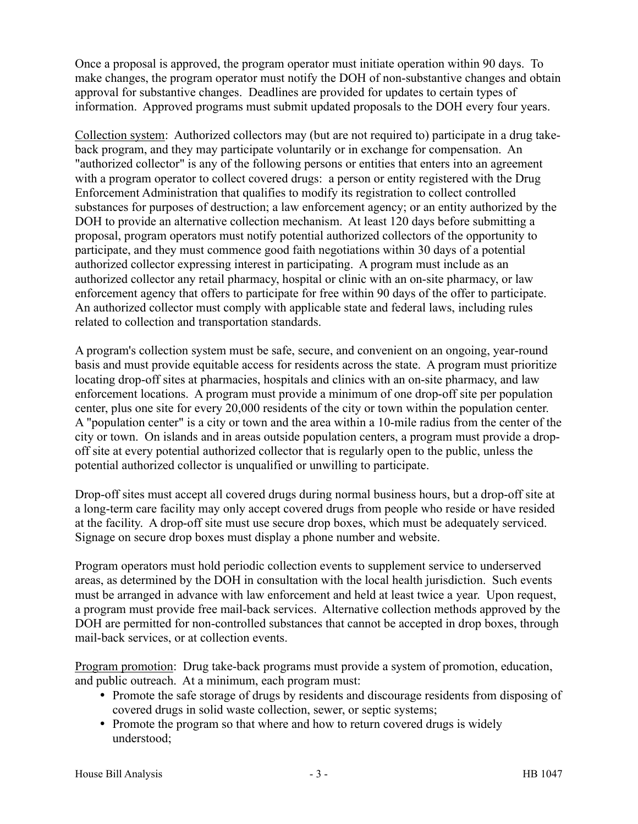Once a proposal is approved, the program operator must initiate operation within 90 days. To make changes, the program operator must notify the DOH of non-substantive changes and obtain approval for substantive changes. Deadlines are provided for updates to certain types of information. Approved programs must submit updated proposals to the DOH every four years.

Collection system: Authorized collectors may (but are not required to) participate in a drug takeback program, and they may participate voluntarily or in exchange for compensation. An "authorized collector" is any of the following persons or entities that enters into an agreement with a program operator to collect covered drugs: a person or entity registered with the Drug Enforcement Administration that qualifies to modify its registration to collect controlled substances for purposes of destruction; a law enforcement agency; or an entity authorized by the DOH to provide an alternative collection mechanism. At least 120 days before submitting a proposal, program operators must notify potential authorized collectors of the opportunity to participate, and they must commence good faith negotiations within 30 days of a potential authorized collector expressing interest in participating. A program must include as an authorized collector any retail pharmacy, hospital or clinic with an on-site pharmacy, or law enforcement agency that offers to participate for free within 90 days of the offer to participate. An authorized collector must comply with applicable state and federal laws, including rules related to collection and transportation standards.

A program's collection system must be safe, secure, and convenient on an ongoing, year-round basis and must provide equitable access for residents across the state. A program must prioritize locating drop-off sites at pharmacies, hospitals and clinics with an on-site pharmacy, and law enforcement locations. A program must provide a minimum of one drop-off site per population center, plus one site for every 20,000 residents of the city or town within the population center. A "population center" is a city or town and the area within a 10-mile radius from the center of the city or town. On islands and in areas outside population centers, a program must provide a dropoff site at every potential authorized collector that is regularly open to the public, unless the potential authorized collector is unqualified or unwilling to participate.

Drop-off sites must accept all covered drugs during normal business hours, but a drop-off site at a long-term care facility may only accept covered drugs from people who reside or have resided at the facility. A drop-off site must use secure drop boxes, which must be adequately serviced. Signage on secure drop boxes must display a phone number and website.

Program operators must hold periodic collection events to supplement service to underserved areas, as determined by the DOH in consultation with the local health jurisdiction. Such events must be arranged in advance with law enforcement and held at least twice a year. Upon request, a program must provide free mail-back services. Alternative collection methods approved by the DOH are permitted for non-controlled substances that cannot be accepted in drop boxes, through mail-back services, or at collection events.

Program promotion: Drug take-back programs must provide a system of promotion, education, and public outreach. At a minimum, each program must:

- Promote the safe storage of drugs by residents and discourage residents from disposing of covered drugs in solid waste collection, sewer, or septic systems;
- Promote the program so that where and how to return covered drugs is widely understood;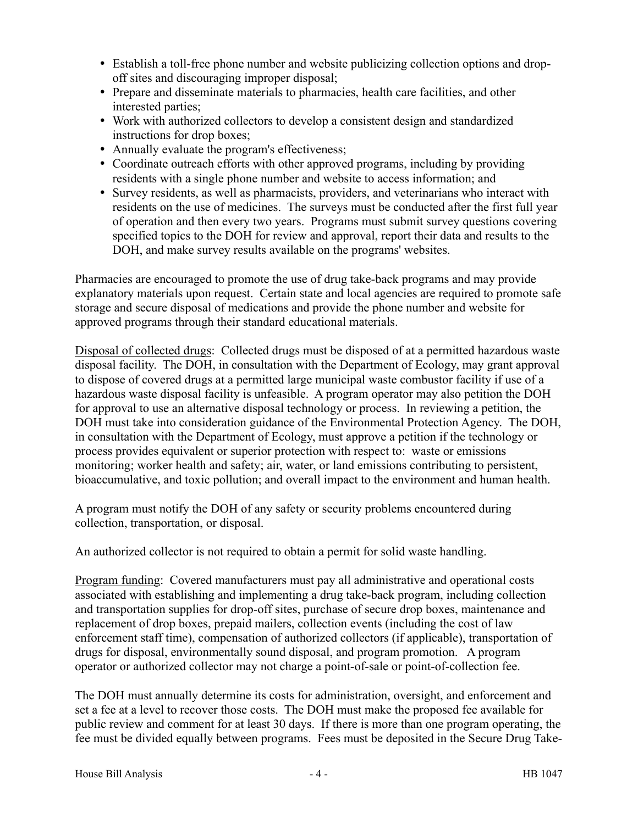- Establish a toll-free phone number and website publicizing collection options and dropoff sites and discouraging improper disposal;
- Prepare and disseminate materials to pharmacies, health care facilities, and other interested parties;
- Work with authorized collectors to develop a consistent design and standardized instructions for drop boxes;
- Annually evaluate the program's effectiveness;
- Coordinate outreach efforts with other approved programs, including by providing residents with a single phone number and website to access information; and
- Survey residents, as well as pharmacists, providers, and veterinarians who interact with residents on the use of medicines. The surveys must be conducted after the first full year of operation and then every two years. Programs must submit survey questions covering specified topics to the DOH for review and approval, report their data and results to the DOH, and make survey results available on the programs' websites.

Pharmacies are encouraged to promote the use of drug take-back programs and may provide explanatory materials upon request. Certain state and local agencies are required to promote safe storage and secure disposal of medications and provide the phone number and website for approved programs through their standard educational materials.

Disposal of collected drugs: Collected drugs must be disposed of at a permitted hazardous waste disposal facility. The DOH, in consultation with the Department of Ecology, may grant approval to dispose of covered drugs at a permitted large municipal waste combustor facility if use of a hazardous waste disposal facility is unfeasible. A program operator may also petition the DOH for approval to use an alternative disposal technology or process. In reviewing a petition, the DOH must take into consideration guidance of the Environmental Protection Agency. The DOH, in consultation with the Department of Ecology, must approve a petition if the technology or process provides equivalent or superior protection with respect to: waste or emissions monitoring; worker health and safety; air, water, or land emissions contributing to persistent, bioaccumulative, and toxic pollution; and overall impact to the environment and human health.

A program must notify the DOH of any safety or security problems encountered during collection, transportation, or disposal.

An authorized collector is not required to obtain a permit for solid waste handling.

Program funding: Covered manufacturers must pay all administrative and operational costs associated with establishing and implementing a drug take-back program, including collection and transportation supplies for drop-off sites, purchase of secure drop boxes, maintenance and replacement of drop boxes, prepaid mailers, collection events (including the cost of law enforcement staff time), compensation of authorized collectors (if applicable), transportation of drugs for disposal, environmentally sound disposal, and program promotion. A program operator or authorized collector may not charge a point-of-sale or point-of-collection fee.

The DOH must annually determine its costs for administration, oversight, and enforcement and set a fee at a level to recover those costs. The DOH must make the proposed fee available for public review and comment for at least 30 days. If there is more than one program operating, the fee must be divided equally between programs. Fees must be deposited in the Secure Drug Take